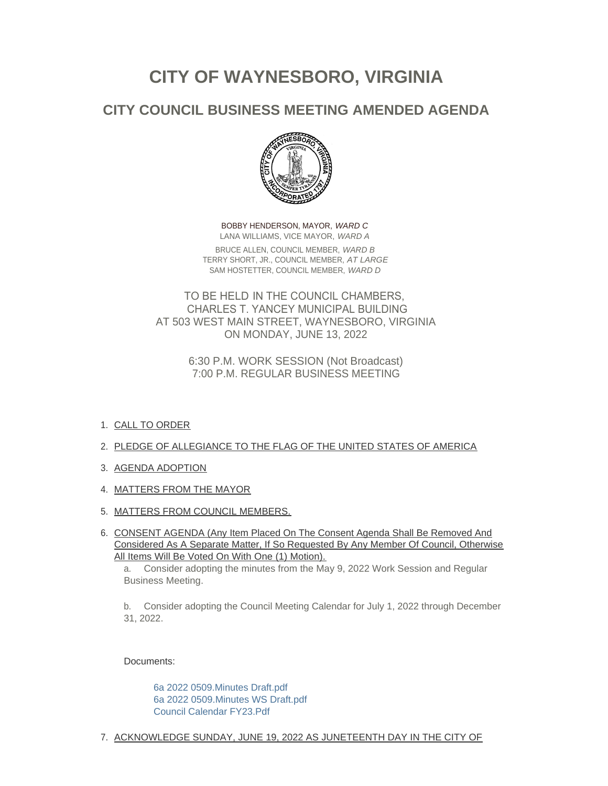# **CITY OF WAYNESBORO, VIRGINIA**

# **CITY COUNCIL BUSINESS MEETING AMENDED AGENDA**



BOBBY HENDERSON, MAYOR, *WARD C* LANA WILLIAMS, VICE MAYOR, *WARD A* BRUCE ALLEN, COUNCIL MEMBER, *WARD B* TERRY SHORT, JR., COUNCIL MEMBER, *AT LARGE* SAM HOSTETTER, COUNCIL MEMBER, *WARD D*

TO BE HELD IN THE COUNCIL CHAMBERS, CHARLES T. YANCEY MUNICIPAL BUILDING AT 503 WEST MAIN STREET, WAYNESBORO, VIRGINIA ON MONDAY, JUNE 13, 2022

> 6:30 P.M. WORK SESSION (Not Broadcast) 7:00 P.M. REGULAR BUSINESS MEETING

- 1. <u>CALL TO ORDER</u>
- 2. PLEDGE OF ALLEGIANCE TO THE FLAG OF THE UNITED STATES OF AMERICA
- 3. AGENDA ADOPTION
- 4. MATTERS FROM THE MAYOR
- 5. <u>MATTERS FROM COUNCIL MEMBERS.</u>
- 6. CONSENT AGENDA (Any Item Placed On The Consent Agenda Shall Be Removed And Considered As A Separate Matter, If So Requested By Any Member Of Council, Otherwise All Items Will Be Voted On With One (1) Motion).

a. Consider adopting the minutes from the May 9, 2022 Work Session and Regular Business Meeting.

b. Consider adopting the Council Meeting Calendar for July 1, 2022 through December 31, 2022.

Documents:

[6a 2022 0509.Minutes Draft.pdf](https://www.waynesboro.va.us/AgendaCenter/ViewFile/Item/4730?fileID=44978) [6a 2022 0509.Minutes WS Draft.pdf](https://www.waynesboro.va.us/AgendaCenter/ViewFile/Item/4730?fileID=44979) [Council Calendar FY23.Pdf](https://www.waynesboro.va.us/AgendaCenter/ViewFile/Item/4730?fileID=44980)

7. <u>ACKNOWLEDGE SUNDAY, JUNE 19, 2022 AS JUNETEENTH DAY IN THE CITY OF</u>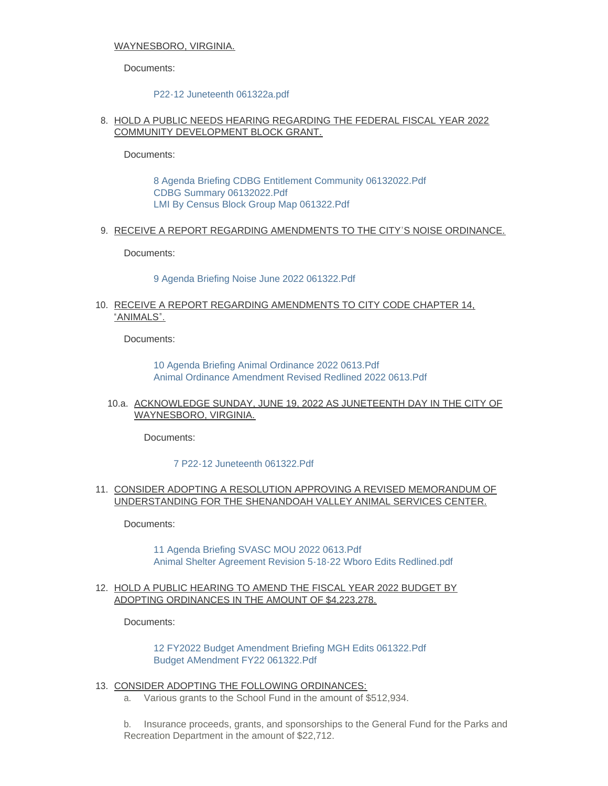## WAYNESBORO, VIRGINIA.

Documents:

#### [P22-12 Juneteenth 061322a.pdf](https://www.waynesboro.va.us/AgendaCenter/ViewFile/Item/4731?fileID=45007)

# 8. HOLD A PUBLIC NEEDS HEARING REGARDING THE FEDERAL FISCAL YEAR 2022 COMMUNITY DEVELOPMENT BLOCK GRANT.

Documents:

[8 Agenda Briefing CDBG Entitlement Community 06132022.Pdf](https://www.waynesboro.va.us/AgendaCenter/ViewFile/Item/4732?fileID=44982) [CDBG Summary 06132022.Pdf](https://www.waynesboro.va.us/AgendaCenter/ViewFile/Item/4732?fileID=44983) [LMI By Census Block Group Map 061322.Pdf](https://www.waynesboro.va.us/AgendaCenter/ViewFile/Item/4732?fileID=44984)

9. RECEIVE A REPORT REGARDING AMENDMENTS TO THE CITY'S NOISE ORDINANCE.

Documents:

[9 Agenda Briefing Noise June 2022 061322.Pdf](https://www.waynesboro.va.us/AgendaCenter/ViewFile/Item/4733?fileID=44985)

# 10. RECEIVE A REPORT REGARDING AMENDMENTS TO CITY CODE CHAPTER 14, "ANIMALS".

Documents:

[10 Agenda Briefing Animal Ordinance 2022 0613.Pdf](https://www.waynesboro.va.us/AgendaCenter/ViewFile/Item/4734?fileID=44986) [Animal Ordinance Amendment Revised Redlined 2022 0613.Pdf](https://www.waynesboro.va.us/AgendaCenter/ViewFile/Item/4734?fileID=44987)

# 10.a. ACKNOWLEDGE SUNDAY, JUNE 19, 2022 AS JUNETEENTH DAY IN THE CITY OF WAYNESBORO, VIRGINIA.

Documents:

# [7 P22-12 Juneteenth 061322.Pdf](https://www.waynesboro.va.us/AgendaCenter/ViewFile/Item/4715?fileID=44956)

# 11. CONSIDER ADOPTING A RESOLUTION APPROVING A REVISED MEMORANDUM OF UNDERSTANDING FOR THE SHENANDOAH VALLEY ANIMAL SERVICES CENTER.

Documents:

[11 Agenda Briefing SVASC MOU 2022 0613.Pdf](https://www.waynesboro.va.us/AgendaCenter/ViewFile/Item/4735?fileID=44988) [Animal Shelter Agreement Revision 5-18-22 Wboro Edits Redlined.pdf](https://www.waynesboro.va.us/AgendaCenter/ViewFile/Item/4735?fileID=44989)

# 12. HOLD A PUBLIC HEARING TO AMEND THE FISCAL YEAR 2022 BUDGET BY ADOPTING ORDINANCES IN THE AMOUNT OF \$4,223,278.

Documents:

[12 FY2022 Budget Amendment Briefing MGH Edits 061322.Pdf](https://www.waynesboro.va.us/AgendaCenter/ViewFile/Item/4720?fileID=44965) [Budget AMendment FY22 061322.Pdf](https://www.waynesboro.va.us/AgendaCenter/ViewFile/Item/4720?fileID=45003)

- 13. CONSIDER ADOPTING THE FOLLOWING ORDINANCES:
	- a. Various grants to the School Fund in the amount of \$512,934.

b. Insurance proceeds, grants, and sponsorships to the General Fund for the Parks and Recreation Department in the amount of \$22,712.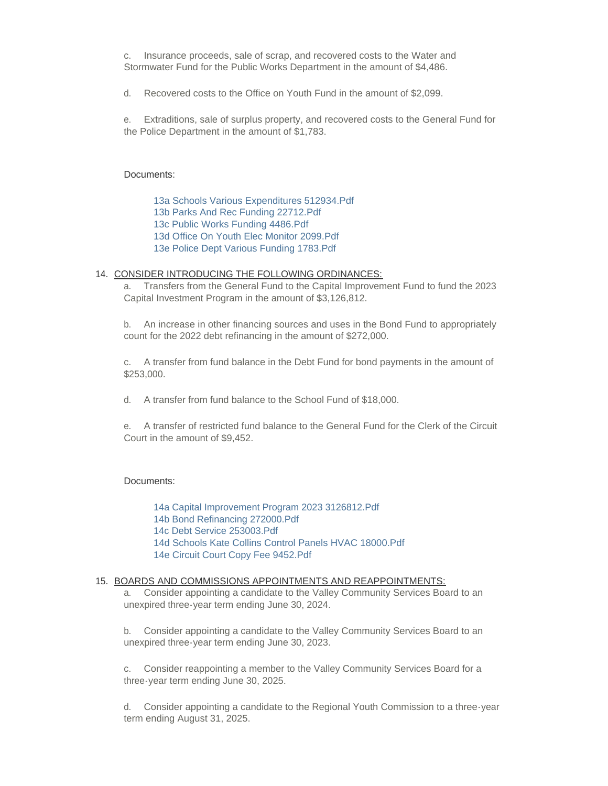c. Insurance proceeds, sale of scrap, and recovered costs to the Water and Stormwater Fund for the Public Works Department in the amount of \$4,486.

d. Recovered costs to the Office on Youth Fund in the amount of \$2,099.

e. Extraditions, sale of surplus property, and recovered costs to the General Fund for the Police Department in the amount of \$1,783.

#### Documents:

[13a Schools Various Expenditures 512934.Pdf](https://www.waynesboro.va.us/AgendaCenter/ViewFile/Item/4737?fileID=44991) [13b Parks And Rec Funding 22712.Pdf](https://www.waynesboro.va.us/AgendaCenter/ViewFile/Item/4737?fileID=44992) [13c Public Works Funding 4486.Pdf](https://www.waynesboro.va.us/AgendaCenter/ViewFile/Item/4737?fileID=44993) [13d Office On Youth Elec Monitor 2099.Pdf](https://www.waynesboro.va.us/AgendaCenter/ViewFile/Item/4737?fileID=44994) [13e Police Dept Various Funding 1783.Pdf](https://www.waynesboro.va.us/AgendaCenter/ViewFile/Item/4737?fileID=44995)

#### 14. CONSIDER INTRODUCING THE FOLLOWING ORDINANCES:

a. Transfers from the General Fund to the Capital Improvement Fund to fund the 2023 Capital Investment Program in the amount of \$3,126,812.

b. An increase in other financing sources and uses in the Bond Fund to appropriately count for the 2022 debt refinancing in the amount of \$272,000.

c. A transfer from fund balance in the Debt Fund for bond payments in the amount of \$253,000.

d. A transfer from fund balance to the School Fund of \$18,000.

e. A transfer of restricted fund balance to the General Fund for the Clerk of the Circuit Court in the amount of \$9,452.

#### Documents:

[14a Capital Improvement Program 2023 3126812.Pdf](https://www.waynesboro.va.us/AgendaCenter/ViewFile/Item/4738?fileID=44996) [14b Bond Refinancing 272000.Pdf](https://www.waynesboro.va.us/AgendaCenter/ViewFile/Item/4738?fileID=44997) [14c Debt Service 253003.Pdf](https://www.waynesboro.va.us/AgendaCenter/ViewFile/Item/4738?fileID=44998) [14d Schools Kate Collins Control Panels HVAC 18000.Pdf](https://www.waynesboro.va.us/AgendaCenter/ViewFile/Item/4738?fileID=44999) [14e Circuit Court Copy Fee 9452.Pdf](https://www.waynesboro.va.us/AgendaCenter/ViewFile/Item/4738?fileID=45000)

#### 15. BOARDS AND COMMISSIONS APPOINTMENTS AND REAPPOINTMENTS:

a. Consider appointing a candidate to the Valley Community Services Board to an unexpired three-year term ending June 30, 2024.

b. Consider appointing a candidate to the Valley Community Services Board to an unexpired three-year term ending June 30, 2023.

c. Consider reappointing a member to the Valley Community Services Board for a three-year term ending June 30, 2025.

d. Consider appointing a candidate to the Regional Youth Commission to a three-year term ending August 31, 2025.